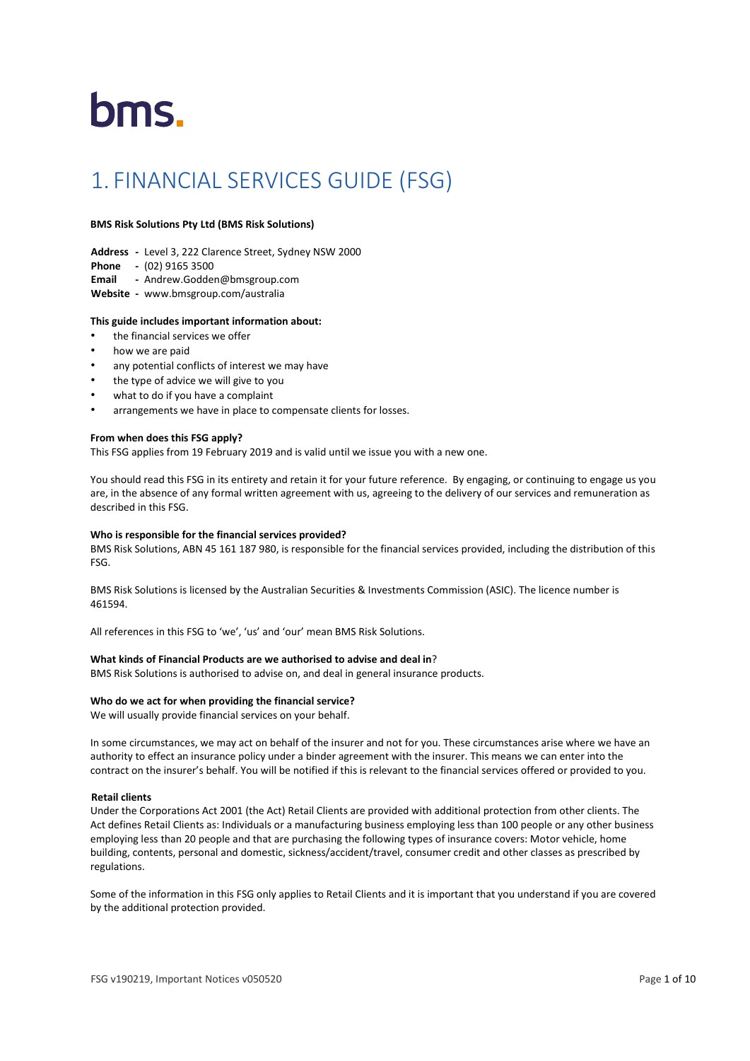# bms.

# 1. FINANCIAL SERVICES GUIDE (FSG)

# **BMS Risk Solutions Pty Ltd (BMS Risk Solutions)**

- **Address -** Level 3, 222 Clarence Street, Sydney NSW 2000
- **Phone -** (02) 9165 3500
- **Email -** [Andrew.Godden@bmsgroup.com](mailto:Andrew.Godden@bmsgroup.com)
- **Website -** www.bmsgroup.com/australia

# **This guide includes important information about:**

- the financial services we offer
- how we are paid
- any potential conflicts of interest we may have
- the type of advice we will give to you
- what to do if you have a complaint
- arrangements we have in place to compensate clients for losses.

# **From when does this FSG apply?**

This FSG applies from 19 February 2019 and is valid until we issue you with a new one.

You should read this FSG in its entirety and retain it for your future reference. By engaging, or continuing to engage us you are, in the absence of any formal written agreement with us, agreeing to the delivery of our services and remuneration as described in this FSG.

# **Who is responsible for the financial services provided?**

BMS Risk Solutions, ABN 45 161 187 980, is responsible for the financial services provided, including the distribution of this FSG.

BMS Risk Solutions is licensed by the Australian Securities & Investments Commission (ASIC). The licence number is 461594.

All references in this FSG to 'we', 'us' and 'our' mean BMS Risk Solutions.

# **What kinds of Financial Products are we authorised to advise and deal in**?

BMS Risk Solutions is authorised to advise on, and deal in general insurance products.

# **Who do we act for when providing the financial service?**

We will usually provide financial services on your behalf.

In some circumstances, we may act on behalf of the insurer and not for you. These circumstances arise where we have an authority to effect an insurance policy under a binder agreement with the insurer. This means we can enter into the contract on the insurer's behalf. You will be notified if this is relevant to the financial services offered or provided to you.

# **Retail clients**

Under the Corporations Act 2001 (the Act) Retail Clients are provided with additional protection from other clients. The Act defines Retail Clients as: Individuals or a manufacturing business employing less than 100 people or any other business employing less than 20 people and that are purchasing the following types of insurance covers: Motor vehicle, home building, contents, personal and domestic, sickness/accident/travel, consumer credit and other classes as prescribed by regulations.

Some of the information in this FSG only applies to Retail Clients and it is important that you understand if you are covered by the additional protection provided.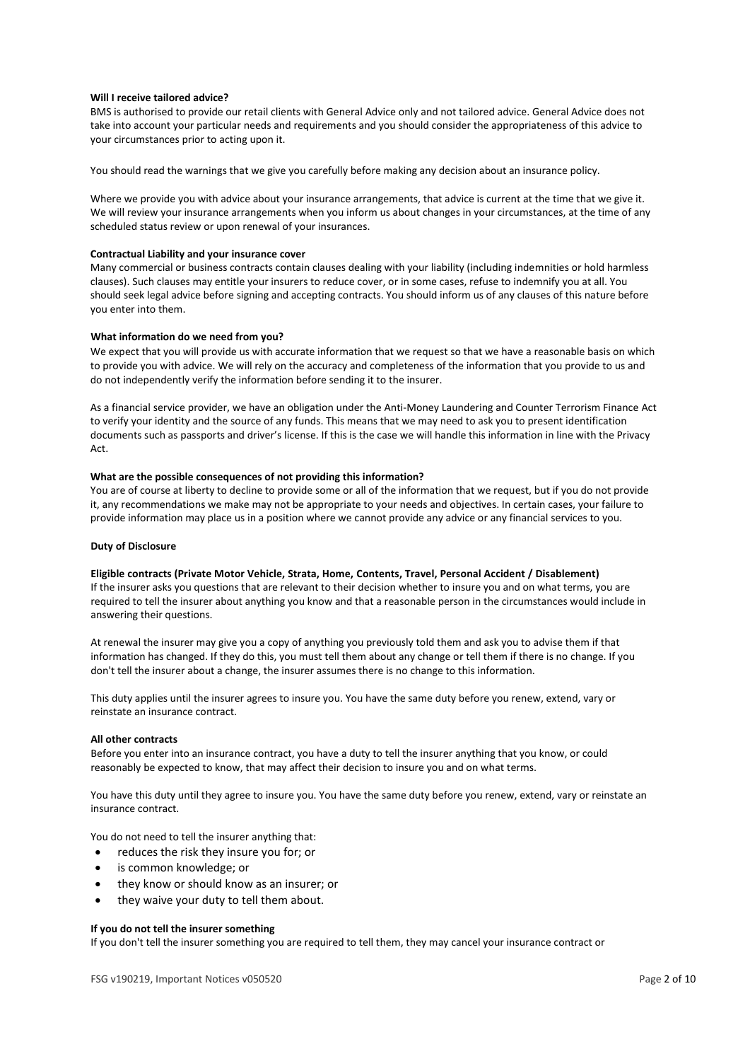# **Will I receive tailored advice?**

BMS is authorised to provide our retail clients with General Advice only and not tailored advice. General Advice does not take into account your particular needs and requirements and you should consider the appropriateness of this advice to your circumstances prior to acting upon it.

You should read the warnings that we give you carefully before making any decision about an insurance policy.

Where we provide you with advice about your insurance arrangements, that advice is current at the time that we give it. We will review your insurance arrangements when you inform us about changes in your circumstances, at the time of any scheduled status review or upon renewal of your insurances.

# **Contractual Liability and your insurance cover**

Many commercial or business contracts contain clauses dealing with your liability (including indemnities or hold harmless clauses). Such clauses may entitle your insurers to reduce cover, or in some cases, refuse to indemnify you at all. You should seek legal advice before signing and accepting contracts. You should inform us of any clauses of this nature before you enter into them.

# **What information do we need from you?**

We expect that you will provide us with accurate information that we request so that we have a reasonable basis on which to provide you with advice. We will rely on the accuracy and completeness of the information that you provide to us and do not independently verify the information before sending it to the insurer.

As a financial service provider, we have an obligation under the Anti-Money Laundering and Counter Terrorism Finance Act to verify your identity and the source of any funds. This means that we may need to ask you to present identification documents such as passports and driver's license. If this is the case we will handle this information in line with the Privacy Act.

# **What are the possible consequences of not providing this information?**

You are of course at liberty to decline to provide some or all of the information that we request, but if you do not provide it, any recommendations we make may not be appropriate to your needs and objectives. In certain cases, your failure to provide information may place us in a position where we cannot provide any advice or any financial services to you.

# **Duty of Disclosure**

# **Eligible contracts (Private Motor Vehicle, Strata, Home, Contents, Travel, Personal Accident / Disablement)**

If the insurer asks you questions that are relevant to their decision whether to insure you and on what terms, you are required to tell the insurer about anything you know and that a reasonable person in the circumstances would include in answering their questions.

At renewal the insurer may give you a copy of anything you previously told them and ask you to advise them if that information has changed. If they do this, you must tell them about any change or tell them if there is no change. If you don't tell the insurer about a change, the insurer assumes there is no change to this information.

This duty applies until the insurer agrees to insure you. You have the same duty before you renew, extend, vary or reinstate an insurance contract.

# **All other contracts**

Before you enter into an insurance contract, you have a duty to tell the insurer anything that you know, or could reasonably be expected to know, that may affect their decision to insure you and on what terms.

You have this duty until they agree to insure you. You have the same duty before you renew, extend, vary or reinstate an insurance contract.

You do not need to tell the insurer anything that:

- reduces the risk they insure you for; or
- is common knowledge; or
- they know or should know as an insurer; or
- they waive your duty to tell them about.

# **If you do not tell the insurer something**

If you don't tell the insurer something you are required to tell them, they may cancel your insurance contract or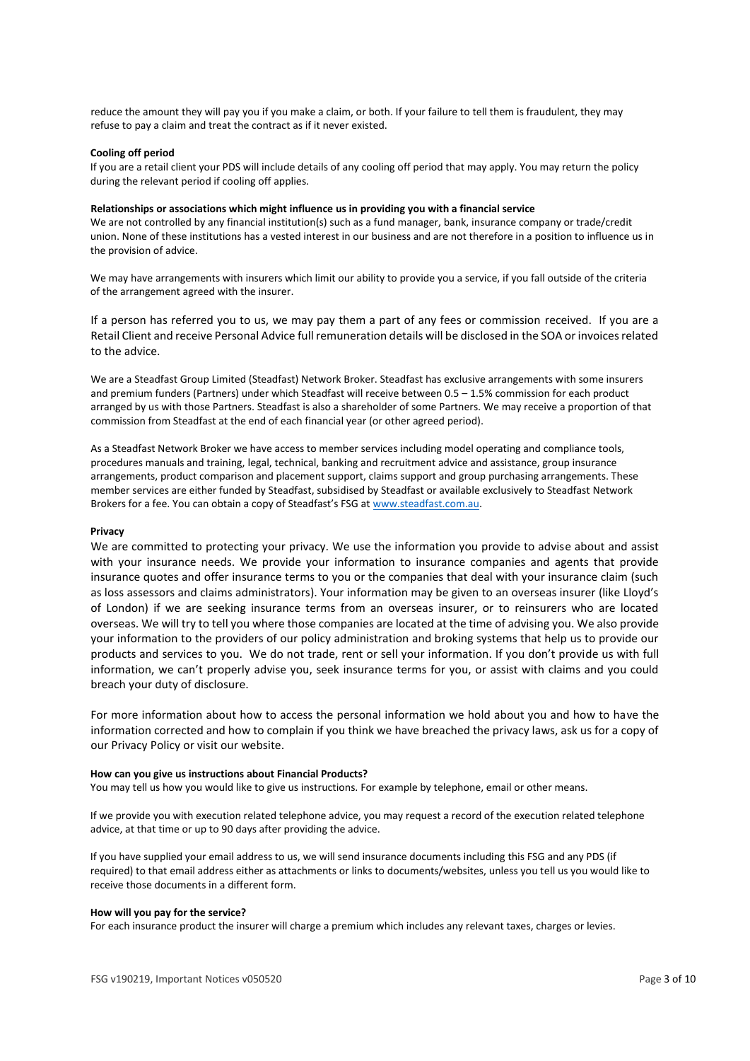reduce the amount they will pay you if you make a claim, or both. If your failure to tell them is fraudulent, they may refuse to pay a claim and treat the contract as if it never existed.

# **Cooling off period**

If you are a retail client your PDS will include details of any cooling off period that may apply. You may return the policy during the relevant period if cooling off applies.

#### **Relationships or associations which might influence us in providing you with a financial service**

We are not controlled by any financial institution(s) such as a fund manager, bank, insurance company or trade/credit union. None of these institutions has a vested interest in our business and are not therefore in a position to influence us in the provision of advice.

We may have arrangements with insurers which limit our ability to provide you a service, if you fall outside of the criteria of the arrangement agreed with the insurer.

If a person has referred you to us, we may pay them a part of any fees or commission received. If you are a Retail Client and receive Personal Advice full remuneration details will be disclosed in the SOA or invoices related to the advice.

We are a Steadfast Group Limited (Steadfast) Network Broker. Steadfast has exclusive arrangements with some insurers and premium funders (Partners) under which Steadfast will receive between 0.5 – 1.5% commission for each product arranged by us with those Partners. Steadfast is also a shareholder of some Partners. We may receive a proportion of that commission from Steadfast at the end of each financial year (or other agreed period).

As a Steadfast Network Broker we have access to member services including model operating and compliance tools, procedures manuals and training, legal, technical, banking and recruitment advice and assistance, group insurance arrangements, product comparison and placement support, claims support and group purchasing arrangements. These member services are either funded by Steadfast, subsidised by Steadfast or available exclusively to Steadfast Network Brokers for a fee. You can obtain a copy of Steadfast's FSG at [www.steadfast.com.au.](http://www.steadfast.com.au/)

# **Privacy**

We are committed to protecting your privacy. We use the information you provide to advise about and assist with your insurance needs. We provide your information to insurance companies and agents that provide insurance quotes and offer insurance terms to you or the companies that deal with your insurance claim (such as loss assessors and claims administrators). Your information may be given to an overseas insurer (like Lloyd's of London) if we are seeking insurance terms from an overseas insurer, or to reinsurers who are located overseas. We will try to tell you where those companies are located at the time of advising you. We also provide your information to the providers of our policy administration and broking systems that help us to provide our products and services to you. We do not trade, rent or sell your information. If you don't provide us with full information, we can't properly advise you, seek insurance terms for you, or assist with claims and you could breach your duty of disclosure.

For more information about how to access the personal information we hold about you and how to have the information corrected and how to complain if you think we have breached the privacy laws, ask us for a copy of our Privacy Policy or visit our website.

#### **How can you give us instructions about Financial Products?**

You may tell us how you would like to give us instructions. For example by telephone, email or other means.

If we provide you with execution related telephone advice, you may request a record of the execution related telephone advice, at that time or up to 90 days after providing the advice.

If you have supplied your email address to us, we will send insurance documents including this FSG and any PDS (if required) to that email address either as attachments or links to documents/websites, unless you tell us you would like to receive those documents in a different form.

#### **How will you pay for the service?**

For each insurance product the insurer will charge a premium which includes any relevant taxes, charges or levies.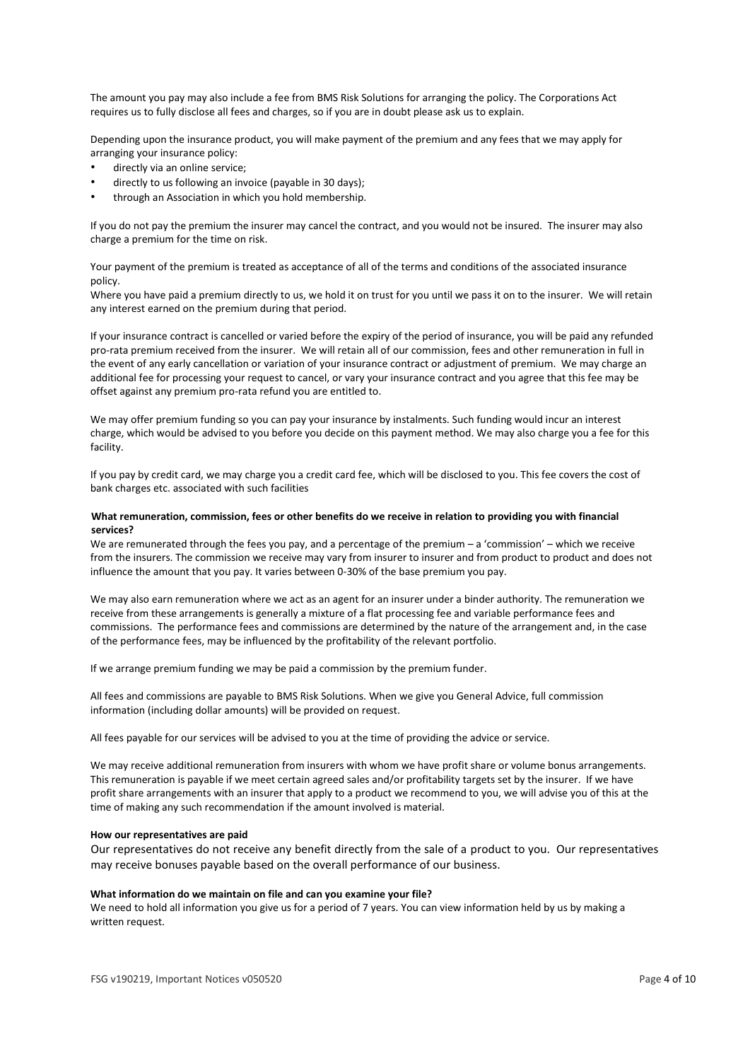The amount you pay may also include a fee from BMS Risk Solutions for arranging the policy. The Corporations Act requires us to fully disclose all fees and charges, so if you are in doubt please ask us to explain.

Depending upon the insurance product, you will make payment of the premium and any fees that we may apply for arranging your insurance policy:

- directly via an online service;
- directly to us following an invoice (payable in 30 days);
- through an Association in which you hold membership.

If you do not pay the premium the insurer may cancel the contract, and you would not be insured. The insurer may also charge a premium for the time on risk.

Your payment of the premium is treated as acceptance of all of the terms and conditions of the associated insurance policy.

Where you have paid a premium directly to us, we hold it on trust for you until we pass it on to the insurer. We will retain any interest earned on the premium during that period.

If your insurance contract is cancelled or varied before the expiry of the period of insurance, you will be paid any refunded pro-rata premium received from the insurer. We will retain all of our commission, fees and other remuneration in full in the event of any early cancellation or variation of your insurance contract or adjustment of premium. We may charge an additional fee for processing your request to cancel, or vary your insurance contract and you agree that this fee may be offset against any premium pro-rata refund you are entitled to.

We may offer premium funding so you can pay your insurance by instalments. Such funding would incur an interest charge, which would be advised to you before you decide on this payment method. We may also charge you a fee for this facility.

If you pay by credit card, we may charge you a credit card fee, which will be disclosed to you. This fee covers the cost of bank charges etc. associated with such facilities

# **What remuneration, commission, fees or other benefits do we receive in relation to providing you with financial services?**

We are remunerated through the fees you pay, and a percentage of the premium – a 'commission' – which we receive from the insurers. The commission we receive may vary from insurer to insurer and from product to product and does not influence the amount that you pay. It varies between 0-30% of the base premium you pay.

We may also earn remuneration where we act as an agent for an insurer under a binder authority. The remuneration we receive from these arrangements is generally a mixture of a flat processing fee and variable performance fees and commissions. The performance fees and commissions are determined by the nature of the arrangement and, in the case of the performance fees, may be influenced by the profitability of the relevant portfolio.

If we arrange premium funding we may be paid a commission by the premium funder.

All fees and commissions are payable to BMS Risk Solutions. When we give you General Advice, full commission information (including dollar amounts) will be provided on request.

All fees payable for our services will be advised to you at the time of providing the advice or service.

We may receive additional remuneration from insurers with whom we have profit share or volume bonus arrangements. This remuneration is payable if we meet certain agreed sales and/or profitability targets set by the insurer. If we have profit share arrangements with an insurer that apply to a product we recommend to you, we will advise you of this at the time of making any such recommendation if the amount involved is material.

# **How our representatives are paid**

Our representatives do not receive any benefit directly from the sale of a product to you. Our representatives may receive bonuses payable based on the overall performance of our business.

# **What information do we maintain on file and can you examine your file?**

We need to hold all information you give us for a period of 7 years. You can view information held by us by making a written request.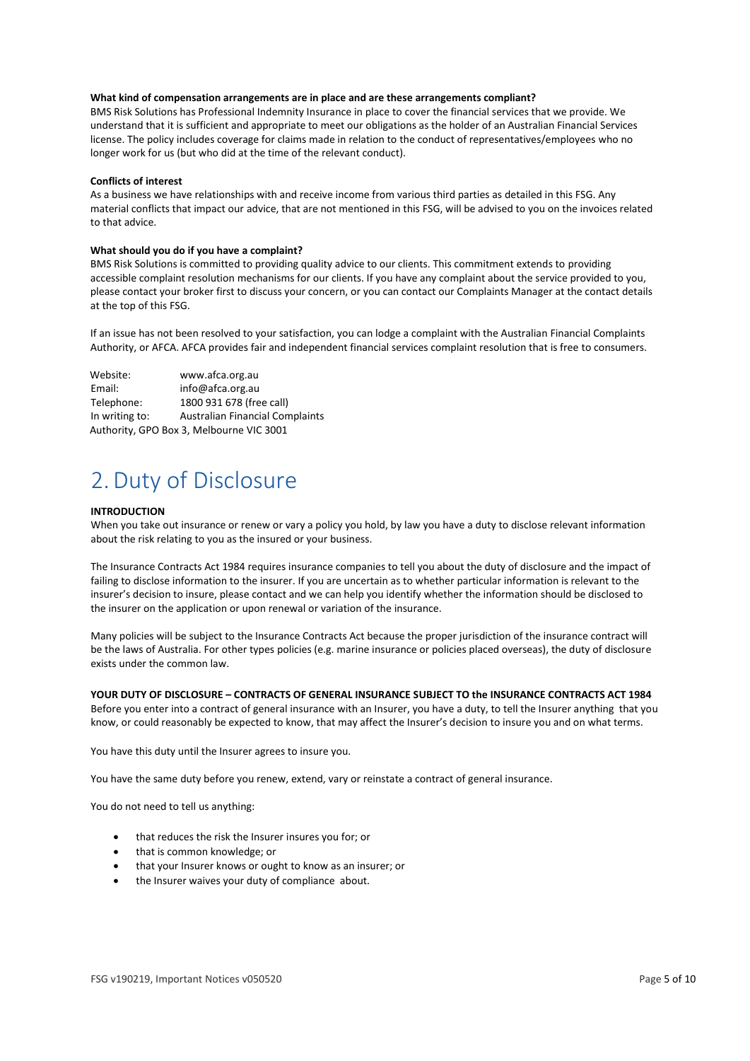# **What kind of compensation arrangements are in place and are these arrangements compliant?**

BMS Risk Solutions has Professional Indemnity Insurance in place to cover the financial services that we provide. We understand that it is sufficient and appropriate to meet our obligations as the holder of an Australian Financial Services license. The policy includes coverage for claims made in relation to the conduct of representatives/employees who no longer work for us (but who did at the time of the relevant conduct).

# **Conflicts of interest**

As a business we have relationships with and receive income from various third parties as detailed in this FSG. Any material conflicts that impact our advice, that are not mentioned in this FSG, will be advised to you on the invoices related to that advice.

# **What should you do if you have a complaint?**

BMS Risk Solutions is committed to providing quality advice to our clients. This commitment extends to providing accessible complaint resolution mechanisms for our clients. If you have any complaint about the service provided to you, please contact your broker first to discuss your concern, or you can contact our Complaints Manager at the contact details at the top of this FSG.

If an issue has not been resolved to your satisfaction, you can lodge a complaint with the Australian Financial Complaints Authority, or AFCA. AFCA provides fair and independent financial services complaint resolution that is free to consumers.

| Website:       | www.afca.org.au                          |
|----------------|------------------------------------------|
| Email:         | info@afca.org.au                         |
| Telephone:     | 1800 931 678 (free call)                 |
| In writing to: | <b>Australian Financial Complaints</b>   |
|                | Authority, GPO Box 3, Melbourne VIC 3001 |

# 2.Duty of Disclosure

# **INTRODUCTION**

When you take out insurance or renew or vary a policy you hold, by law you have a duty to disclose relevant information about the risk relating to you as the insured or your business.

The Insurance Contracts Act 1984 requires insurance companies to tell you about the duty of disclosure and the impact of failing to disclose information to the insurer. If you are uncertain as to whether particular information is relevant to the insurer's decision to insure, please contact and we can help you identify whether the information should be disclosed to the insurer on the application or upon renewal or variation of the insurance.

Many policies will be subject to the Insurance Contracts Act because the proper jurisdiction of the insurance contract will be the laws of Australia. For other types policies (e.g. marine insurance or policies placed overseas), the duty of disclosure exists under the common law.

# **YOUR DUTY OF DISCLOSURE – CONTRACTS OF GENERAL INSURANCE SUBJECT TO the INSURANCE CONTRACTS ACT 1984**

Before you enter into a contract of general insurance with an Insurer, you have a duty, to tell the Insurer anything that you know, or could reasonably be expected to know, that may affect the Insurer's decision to insure you and on what terms.

You have this duty until the Insurer agrees to insure you.

You have the same duty before you renew, extend, vary or reinstate a contract of general insurance.

You do not need to tell us anything:

- that reduces the risk the Insurer insures you for; or
- that is common knowledge; or
- that your Insurer knows or ought to know as an insurer; or
- the Insurer waives your duty of compliance about.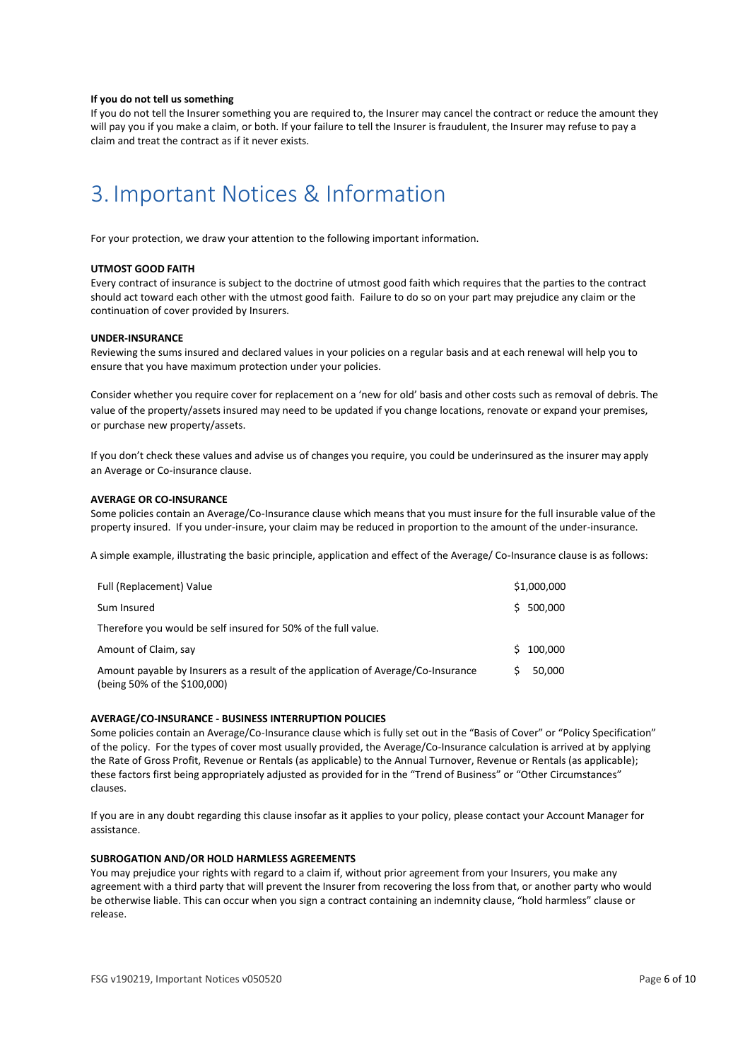# **If you do not tell us something**

If you do not tell the Insurer something you are required to, the Insurer may cancel the contract or reduce the amount they will pay you if you make a claim, or both. If your failure to tell the Insurer is fraudulent, the Insurer may refuse to pay a claim and treat the contract as if it never exists.

# 3. Important Notices & Information

For your protection, we draw your attention to the following important information.

# **UTMOST GOOD FAITH**

Every contract of insurance is subject to the doctrine of utmost good faith which requires that the parties to the contract should act toward each other with the utmost good faith. Failure to do so on your part may prejudice any claim or the continuation of cover provided by Insurers.

### **UNDER-INSURANCE**

Reviewing the sums insured and declared values in your policies on a regular basis and at each renewal will help you to ensure that you have maximum protection under your policies.

Consider whether you require cover for replacement on a 'new for old' basis and other costs such as removal of debris. The value of the property/assets insured may need to be updated if you change locations, renovate or expand your premises, or purchase new property/assets.

If you don't check these values and advise us of changes you require, you could be underinsured as the insurer may apply an Average or Co-insurance clause.

# **AVERAGE OR CO-INSURANCE**

Some policies contain an Average/Co-Insurance clause which means that you must insure for the full insurable value of the property insured. If you under-insure, your claim may be reduced in proportion to the amount of the under-insurance.

A simple example, illustrating the basic principle, application and effect of the Average/ Co-Insurance clause is as follows:

| Full (Replacement) Value                                                                                          |    | \$1,000,000 |
|-------------------------------------------------------------------------------------------------------------------|----|-------------|
| Sum Insured                                                                                                       |    | \$500.000   |
| Therefore you would be self insured for 50% of the full value.                                                    |    |             |
| Amount of Claim, say                                                                                              | S. | 100.000     |
| Amount payable by Insurers as a result of the application of Average/Co-Insurance<br>(being 50% of the \$100,000) | S. | 50.000      |

# **AVERAGE/CO-INSURANCE - BUSINESS INTERRUPTION POLICIES**

Some policies contain an Average/Co-Insurance clause which is fully set out in the "Basis of Cover" or "Policy Specification" of the policy. For the types of cover most usually provided, the Average/Co-Insurance calculation is arrived at by applying the Rate of Gross Profit, Revenue or Rentals (as applicable) to the Annual Turnover, Revenue or Rentals (as applicable); these factors first being appropriately adjusted as provided for in the "Trend of Business" or "Other Circumstances" clauses.

If you are in any doubt regarding this clause insofar as it applies to your policy, please contact your Account Manager for assistance.

# **SUBROGATION AND/OR HOLD HARMLESS AGREEMENTS**

You may prejudice your rights with regard to a claim if, without prior agreement from your Insurers, you make any agreement with a third party that will prevent the Insurer from recovering the loss from that, or another party who would be otherwise liable. This can occur when you sign a contract containing an indemnity clause, "hold harmless" clause or release.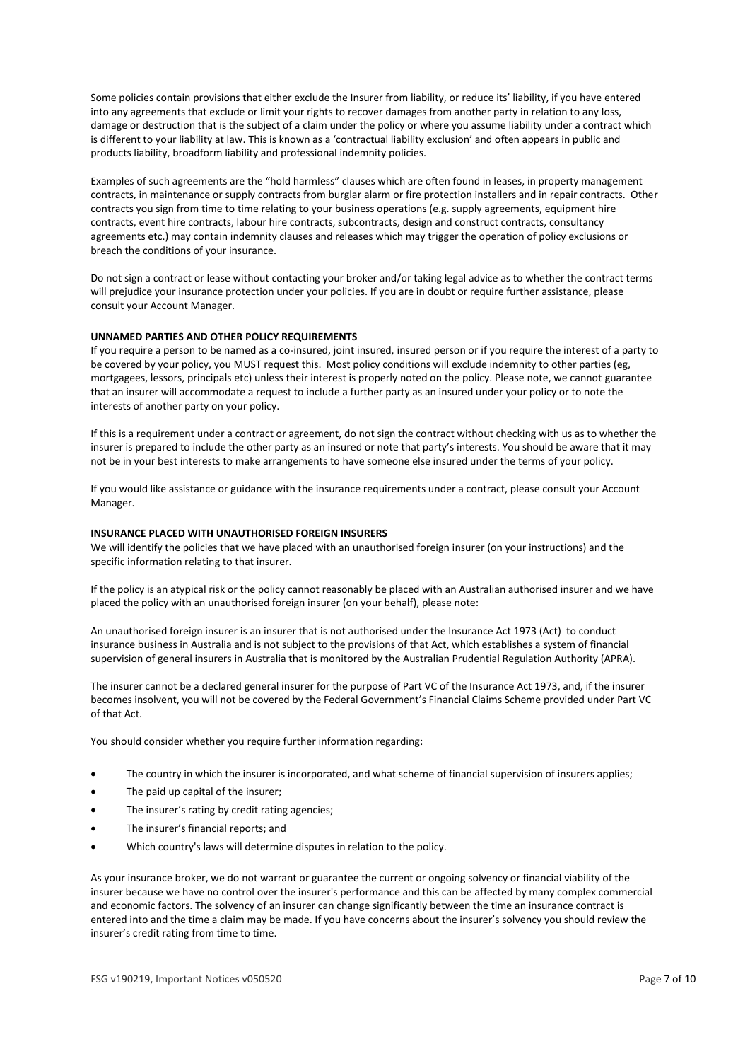Some policies contain provisions that either exclude the Insurer from liability, or reduce its' liability, if you have entered into any agreements that exclude or limit your rights to recover damages from another party in relation to any loss, damage or destruction that is the subject of a claim under the policy or where you assume liability under a contract which is different to your liability at law. This is known as a 'contractual liability exclusion' and often appears in public and products liability, broadform liability and professional indemnity policies.

Examples of such agreements are the "hold harmless" clauses which are often found in leases, in property management contracts, in maintenance or supply contracts from burglar alarm or fire protection installers and in repair contracts. Other contracts you sign from time to time relating to your business operations (e.g. supply agreements, equipment hire contracts, event hire contracts, labour hire contracts, subcontracts, design and construct contracts, consultancy agreements etc.) may contain indemnity clauses and releases which may trigger the operation of policy exclusions or breach the conditions of your insurance.

Do not sign a contract or lease without contacting your broker and/or taking legal advice as to whether the contract terms will prejudice your insurance protection under your policies. If you are in doubt or require further assistance, please consult your Account Manager.

# **UNNAMED PARTIES AND OTHER POLICY REQUIREMENTS**

If you require a person to be named as a co-insured, joint insured, insured person or if you require the interest of a party to be covered by your policy, you MUST request this. Most policy conditions will exclude indemnity to other parties (eg, mortgagees, lessors, principals etc) unless their interest is properly noted on the policy. Please note, we cannot guarantee that an insurer will accommodate a request to include a further party as an insured under your policy or to note the interests of another party on your policy.

If this is a requirement under a contract or agreement, do not sign the contract without checking with us as to whether the insurer is prepared to include the other party as an insured or note that party's interests. You should be aware that it may not be in your best interests to make arrangements to have someone else insured under the terms of your policy.

If you would like assistance or guidance with the insurance requirements under a contract, please consult your Account Manager.

# **INSURANCE PLACED WITH UNAUTHORISED FOREIGN INSURERS**

We will identify the policies that we have placed with an unauthorised foreign insurer (on your instructions) and the specific information relating to that insurer.

If the policy is an atypical risk or the policy cannot reasonably be placed with an Australian authorised insurer and we have placed the policy with an unauthorised foreign insurer (on your behalf), please note:

An unauthorised foreign insurer is an insurer that is not authorised under the Insurance Act 1973 (Act) to conduct insurance business in Australia and is not subject to the provisions of that Act, which establishes a system of financial supervision of general insurers in Australia that is monitored by the Australian Prudential Regulation Authority (APRA).

The insurer cannot be a declared general insurer for the purpose of Part VC of the Insurance Act 1973, and, if the insurer becomes insolvent, you will not be covered by the Federal Government's Financial Claims Scheme provided under Part VC of that Act.

You should consider whether you require further information regarding:

- The country in which the insurer is incorporated, and what scheme of financial supervision of insurers applies;
- The paid up capital of the insurer;
- The insurer's rating by credit rating agencies;
- The insurer's financial reports; and
- Which country's laws will determine disputes in relation to the policy.

As your insurance broker, we do not warrant or guarantee the current or ongoing solvency or financial viability of the insurer because we have no control over the insurer's performance and this can be affected by many complex commercial and economic factors. The solvency of an insurer can change significantly between the time an insurance contract is entered into and the time a claim may be made. If you have concerns about the insurer's solvency you should review the insurer's credit rating from time to time.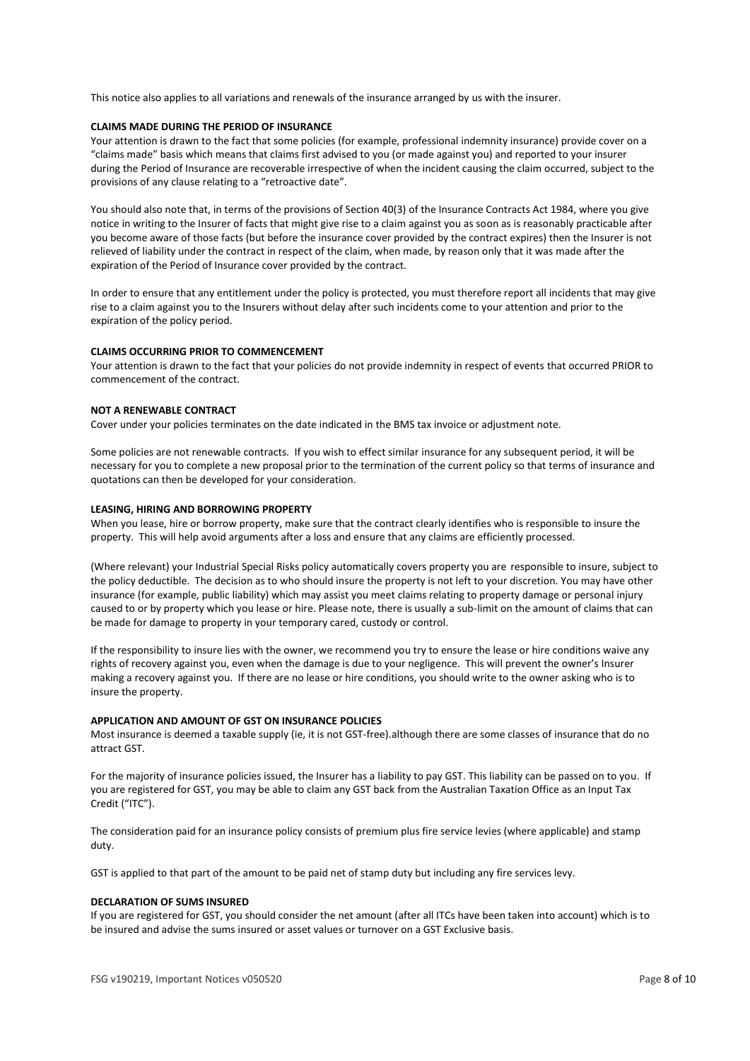This notice also applies to all variations and renewals of the insurance arranged by us with the insurer.

# **CLAIMS MADE DURING THE PERIOD OF INSURANCE**

Your attention is drawn to the fact that some policies (for example, professional indemnity insurance) provide cover on a "claims made" basis which means that claims first advised to you (or made against you) and reported to your insurer during the Period of Insurance are recoverable irrespective of when the incident causing the claim occurred, subject to the provisions of any clause relating to a "retroactive date".

You should also note that, in terms of the provisions of Section 40(3) of the Insurance Contracts Act 1984, where you give notice in writing to the Insurer of facts that might give rise to a claim against you as soon as is reasonably practicable after you become aware of those facts (but before the insurance cover provided by the contract expires) then the Insurer is not relieved of liability under the contract in respect of the claim, when made, by reason only that it was made after the expiration of the Period of Insurance cover provided by the contract.

In order to ensure that any entitlement under the policy is protected, you must therefore report all incidents that may give rise to a claim against you to the Insurers without delay after such incidents come to your attention and prior to the expiration of the policy period.

# **CLAIMS OCCURRING PRIOR TO COMMENCEMENT**

Your attention is drawn to the fact that your policies do not provide indemnity in respect of events that occurred PRIOR to commencement of the contract.

# **NOT A RENEWABLE CONTRACT**

Cover under your policies terminates on the date indicated in the BMS tax invoice or adjustment note.

Some policies are not renewable contracts. If you wish to effect similar insurance for any subsequent period, it will be necessary for you to complete a new proposal prior to the termination of the current policy so that terms of insurance and quotations can then be developed for your consideration.

# **LEASING, HIRING AND BORROWING PROPERTY**

When you lease, hire or borrow property, make sure that the contract clearly identifies who is responsible to insure the property. This will help avoid arguments after a loss and ensure that any claims are efficiently processed.

(Where relevant) your Industrial Special Risks policy automatically covers property you are responsible to insure, subject to the policy deductible. The decision as to who should insure the property is not left to your discretion. You may have other insurance (for example, public liability) which may assist you meet claims relating to property damage or personal injury caused to or by property which you lease or hire. Please note, there is usually a sub-limit on the amount of claims that can be made for damage to property in your temporary cared, custody or control.

If the responsibility to insure lies with the owner, we recommend you try to ensure the lease or hire conditions waive any rights of recovery against you, even when the damage is due to your negligence. This will prevent the owner's Insurer making a recovery against you. If there are no lease or hire conditions, you should write to the owner asking who is to insure the property.

# **APPLICATION AND AMOUNT OF GST ON INSURANCE POLICIES**

Most insurance is deemed a taxable supply (ie, it is not GST-free).although there are some classes of insurance that do no attract GST.

For the majority of insurance policies issued, the Insurer has a liability to pay GST. This liability can be passed on to you. If you are registered for GST, you may be able to claim any GST back from the Australian Taxation Office as an Input Tax Credit ("ITC").

The consideration paid for an insurance policy consists of premium plus fire service levies (where applicable) and stamp duty.

GST is applied to that part of the amount to be paid net of stamp duty but including any fire services levy.

# **DECLARATION OF SUMS INSURED**

If you are registered for GST, you should consider the net amount (after all ITCs have been taken into account) which is to be insured and advise the sums insured or asset values or turnover on a GST Exclusive basis.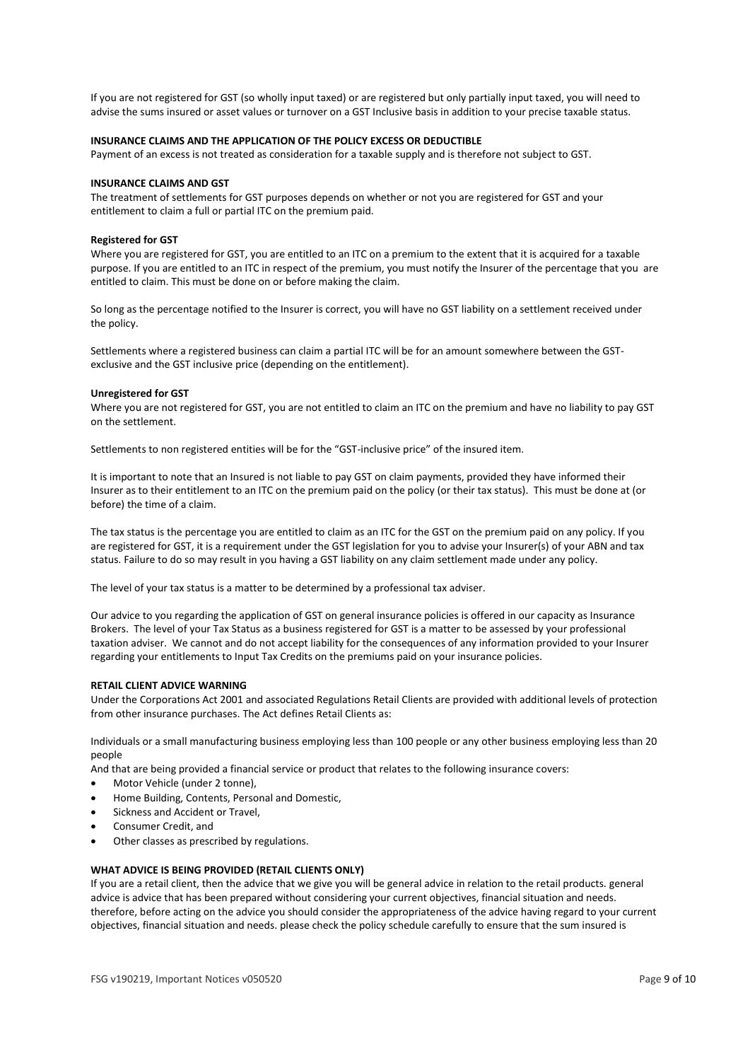If you are not registered for GST (so wholly input taxed) or are registered but only partially input taxed, you will need to advise the sums insured or asset values or turnover on a GST Inclusive basis in addition to your precise taxable status.

# **INSURANCE CLAIMS AND THE APPLICATION OF THE POLICY EXCESS OR DEDUCTIBLE**

Payment of an excess is not treated as consideration for a taxable supply and is therefore not subject to GST.

### **INSURANCE CLAIMS AND GST**

The treatment of settlements for GST purposes depends on whether or not you are registered for GST and your entitlement to claim a full or partial ITC on the premium paid.

# **Registered for GST**

Where you are registered for GST, you are entitled to an ITC on a premium to the extent that it is acquired for a taxable purpose. If you are entitled to an ITC in respect of the premium, you must notify the Insurer of the percentage that you are entitled to claim. This must be done on or before making the claim.

So long as the percentage notified to the Insurer is correct, you will have no GST liability on a settlement received under the policy.

Settlements where a registered business can claim a partial ITC will be for an amount somewhere between the GSTexclusive and the GST inclusive price (depending on the entitlement).

#### **Unregistered for GST**

Where you are not registered for GST, you are not entitled to claim an ITC on the premium and have no liability to pay GST on the settlement.

Settlements to non registered entities will be for the "GST-inclusive price" of the insured item.

It is important to note that an Insured is not liable to pay GST on claim payments, provided they have informed their Insurer as to their entitlement to an ITC on the premium paid on the policy (or their tax status). This must be done at (or before) the time of a claim.

The tax status is the percentage you are entitled to claim as an ITC for the GST on the premium paid on any policy. If you are registered for GST, it is a requirement under the GST legislation for you to advise your Insurer(s) of your ABN and tax status. Failure to do so may result in you having a GST liability on any claim settlement made under any policy.

The level of your tax status is a matter to be determined by a professional tax adviser.

Our advice to you regarding the application of GST on general insurance policies is offered in our capacity as Insurance Brokers. The level of your Tax Status as a business registered for GST is a matter to be assessed by your professional taxation adviser. We cannot and do not accept liability for the consequences of any information provided to your Insurer regarding your entitlements to Input Tax Credits on the premiums paid on your insurance policies.

# **RETAIL CLIENT ADVICE WARNING**

Under the Corporations Act 2001 and associated Regulations Retail Clients are provided with additional levels of protection from other insurance purchases. The Act defines Retail Clients as:

Individuals or a small manufacturing business employing less than 100 people or any other business employing less than 20 people

And that are being provided a financial service or product that relates to the following insurance covers:

- Motor Vehicle (under 2 tonne),
- Home Building, Contents, Personal and Domestic,
- Sickness and Accident or Travel,
- Consumer Credit, and
- Other classes as prescribed by regulations.

# **WHAT ADVICE IS BEING PROVIDED (RETAIL CLIENTS ONLY)**

If you are a retail client, then the advice that we give you will be general advice in relation to the retail products. general advice is advice that has been prepared without considering your current objectives, financial situation and needs. therefore, before acting on the advice you should consider the appropriateness of the advice having regard to your current objectives, financial situation and needs. please check the policy schedule carefully to ensure that the sum insured is